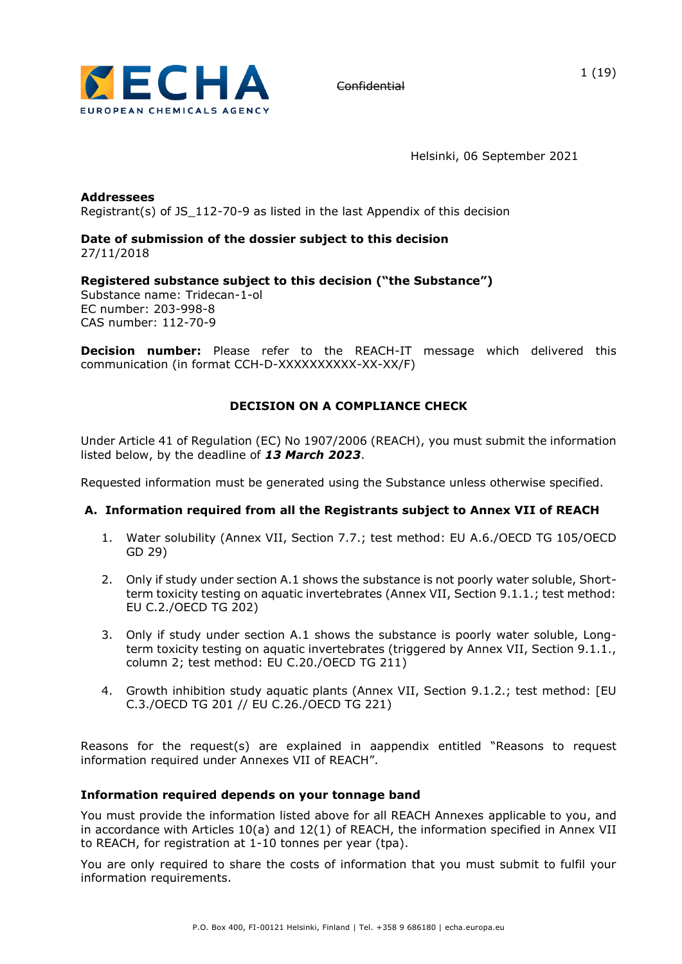

Helsinki, 06 September 2021

**Addressees** Registrant(s) of JS\_112-70-9 as listed in the last Appendix of this decision

### **Date of submission of the dossier subject to this decision**  27/11/2018

**Registered substance subject to this decision ("the Substance")** Substance name: Tridecan-1-ol EC number: 203-998-8 CAS number: 112-70-9

**Decision number:** Please refer to the REACH-IT message which delivered this communication (in format CCH-D-XXXXXXXXXX-XX-XX/F)

# **DECISION ON A COMPLIANCE CHECK**

Under Article 41 of Regulation (EC) No 1907/2006 (REACH), you must submit the information listed below, by the deadline of *13 March 2023*.

Requested information must be generated using the Substance unless otherwise specified.

# **A. Information required from all the Registrants subject to Annex VII of REACH**

- 1. Water solubility (Annex VII, Section 7.7.; test method: EU A.6./OECD TG 105/OECD GD 29)
- 2. Only if study under section A.1 shows the substance is not poorly water soluble, Shortterm toxicity testing on aquatic invertebrates (Annex VII, Section 9.1.1.; test method: EU C.2./OECD TG 202)
- 3. Only if study under section A.1 shows the substance is poorly water soluble, Longterm toxicity testing on aquatic invertebrates (triggered by Annex VII, Section 9.1.1., column 2; test method: EU C.20./OECD TG 211)
- 4. Growth inhibition study aquatic plants (Annex VII, Section 9.1.2.; test method: [EU C.3./OECD TG 201 // EU C.26./OECD TG 221)

Reasons for the request(s) are explained in aappendix entitled "Reasons to request information required under Annexes VII of REACH".

### **Information required depends on your tonnage band**

You must provide the information listed above for all REACH Annexes applicable to you, and in accordance with Articles 10(a) and 12(1) of REACH, the information specified in Annex VII to REACH, for registration at 1-10 tonnes per year (tpa).

You are only required to share the costs of information that you must submit to fulfil your information requirements.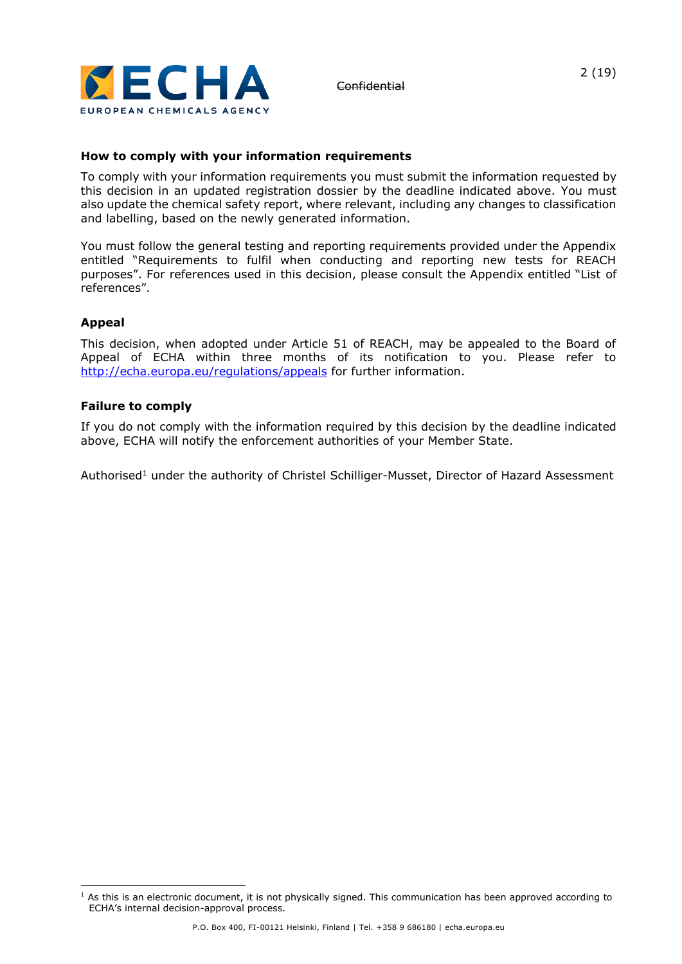

# **How to comply with your information requirements**

To comply with your information requirements you must submit the information requested by this decision in an updated registration dossier by the deadline indicated above. You must also update the chemical safety report, where relevant, including any changes to classification and labelling, based on the newly generated information.

You must follow the general testing and reporting requirements provided under the Appendix entitled "Requirements to fulfil when conducting and reporting new tests for REACH purposes". For references used in this decision, please consult the Appendix entitled "List of references".

### **Appeal**

This decision, when adopted under Article 51 of REACH, may be appealed to the Board of Appeal of ECHA within three months of its notification to you. Please refer to <http://echa.europa.eu/regulations/appeals> for further information.

### **Failure to comply**

If you do not comply with the information required by this decision by the deadline indicated above, ECHA will notify the enforcement authorities of your Member State.

Authorised<sup>1</sup> under the authority of Christel Schilliger-Musset, Director of Hazard Assessment

 $1$  As this is an electronic document, it is not physically signed. This communication has been approved according to ECHA's internal decision-approval process.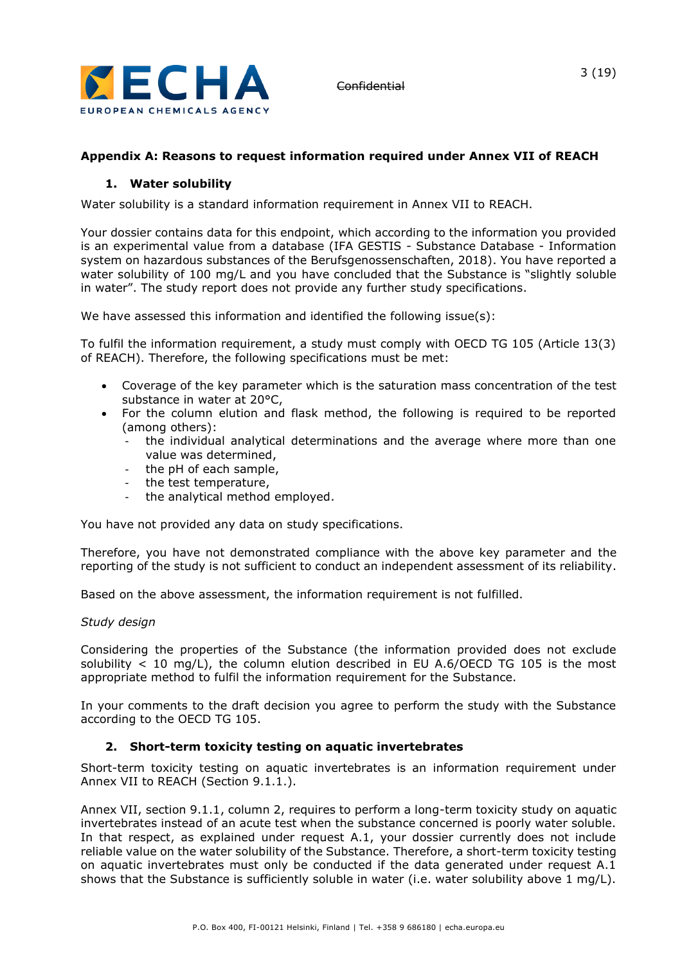

# **Appendix A: Reasons to request information required under Annex VII of REACH**

# **1. Water solubility**

Water solubility is a standard information requirement in Annex VII to REACH.

Your dossier contains data for this endpoint, which according to the information you provided is an experimental value from a database (IFA GESTIS - Substance Database - Information system on hazardous substances of the Berufsgenossenschaften, 2018). You have reported a water solubility of 100 mg/L and you have concluded that the Substance is "slightly soluble in water". The study report does not provide any further study specifications.

We have assessed this information and identified the following issue(s):

To fulfil the information requirement, a study must comply with OECD TG 105 (Article 13(3) of REACH). Therefore, the following specifications must be met:

- Coverage of the key parameter which is the saturation mass concentration of the test substance in water at 20°C,
- For the column elution and flask method, the following is required to be reported (among others):
	- the individual analytical determinations and the average where more than one value was determined,
	- the pH of each sample,
	- the test temperature,
	- the analytical method employed.

You have not provided any data on study specifications.

Therefore, you have not demonstrated compliance with the above key parameter and the reporting of the study is not sufficient to conduct an independent assessment of its reliability.

Based on the above assessment, the information requirement is not fulfilled.

### *Study design*

Considering the properties of the Substance (the information provided does not exclude solubility  $<$  10 mg/L), the column elution described in EU A.6/OECD TG 105 is the most appropriate method to fulfil the information requirement for the Substance.

In your comments to the draft decision you agree to perform the study with the Substance according to the OECD TG 105.

### **2. Short-term toxicity testing on aquatic invertebrates**

Short-term toxicity testing on aquatic invertebrates is an information requirement under Annex VII to REACH (Section 9.1.1.).

Annex VII, section 9.1.1, column 2, requires to perform a long-term toxicity study on aquatic invertebrates instead of an acute test when the substance concerned is poorly water soluble. In that respect, as explained under request A.1, your dossier currently does not include reliable value on the water solubility of the Substance. Therefore, a short-term toxicity testing on aquatic invertebrates must only be conducted if the data generated under request A.1 shows that the Substance is sufficiently soluble in water (i.e. water solubility above 1 mg/L).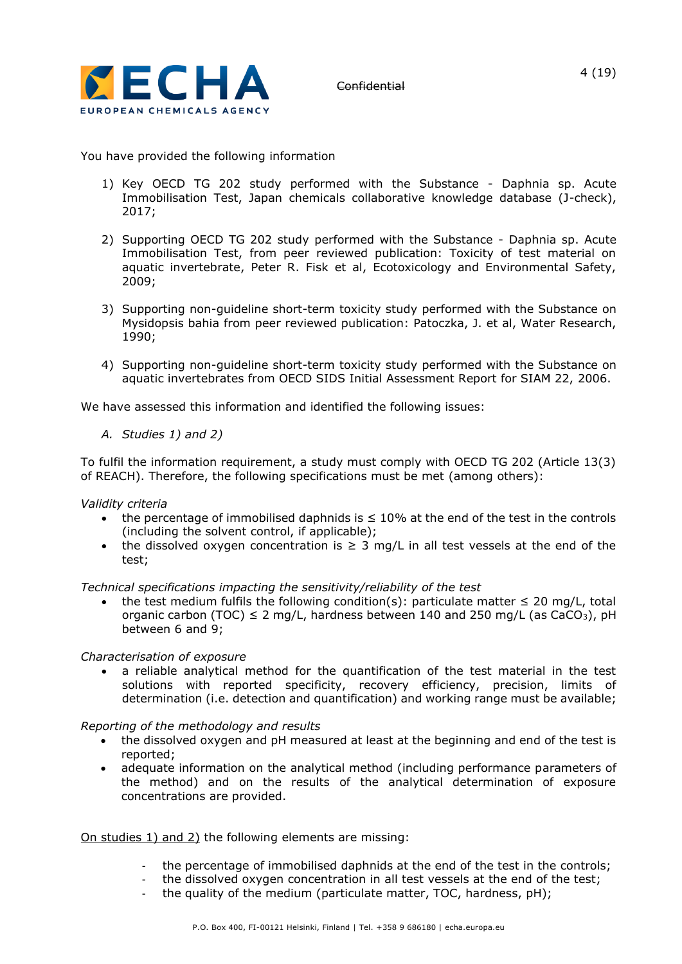

You have provided the following information

- 1) Key OECD TG 202 study performed with the Substance Daphnia sp. Acute Immobilisation Test, Japan chemicals collaborative knowledge database (J-check), 2017;
- 2) Supporting OECD TG 202 study performed with the Substance Daphnia sp. Acute Immobilisation Test, from peer reviewed publication: Toxicity of test material on aquatic invertebrate, Peter R. Fisk et al, Ecotoxicology and Environmental Safety, 2009;
- 3) Supporting non-guideline short-term toxicity study performed with the Substance on Mysidopsis bahia from peer reviewed publication: Patoczka, J. et al, Water Research, 1990;
- 4) Supporting non-guideline short-term toxicity study performed with the Substance on aquatic invertebrates from OECD SIDS Initial Assessment Report for SIAM 22, 2006.

We have assessed this information and identified the following issues:

*A. Studies 1) and 2)* 

To fulfil the information requirement, a study must comply with OECD TG 202 (Article 13(3) of REACH). Therefore, the following specifications must be met (among others):

*Validity criteria*

- the percentage of immobilised daphnids is ≤ 10% at the end of the test in the controls (including the solvent control, if applicable);
- the dissolved oxygen concentration is  $\geq 3$  mg/L in all test vessels at the end of the test;

*Technical specifications impacting the sensitivity/reliability of the test*

the test medium fulfils the following condition(s): particulate matter  $\leq 20$  mg/L, total organic carbon (TOC)  $\leq$  2 mg/L, hardness between 140 and 250 mg/L (as CaCO<sub>3</sub>), pH between 6 and 9;

### *Characterisation of exposure*

• a reliable analytical method for the quantification of the test material in the test solutions with reported specificity, recovery efficiency, precision, limits of determination (i.e. detection and quantification) and working range must be available;

### *Reporting of the methodology and results*

- the dissolved oxygen and pH measured at least at the beginning and end of the test is reported;
- adequate information on the analytical method (including performance parameters of the method) and on the results of the analytical determination of exposure concentrations are provided.

### On studies 1) and 2) the following elements are missing:

- the percentage of immobilised daphnids at the end of the test in the controls;
- the dissolved oxygen concentration in all test vessels at the end of the test;
- the quality of the medium (particulate matter, TOC, hardness, pH);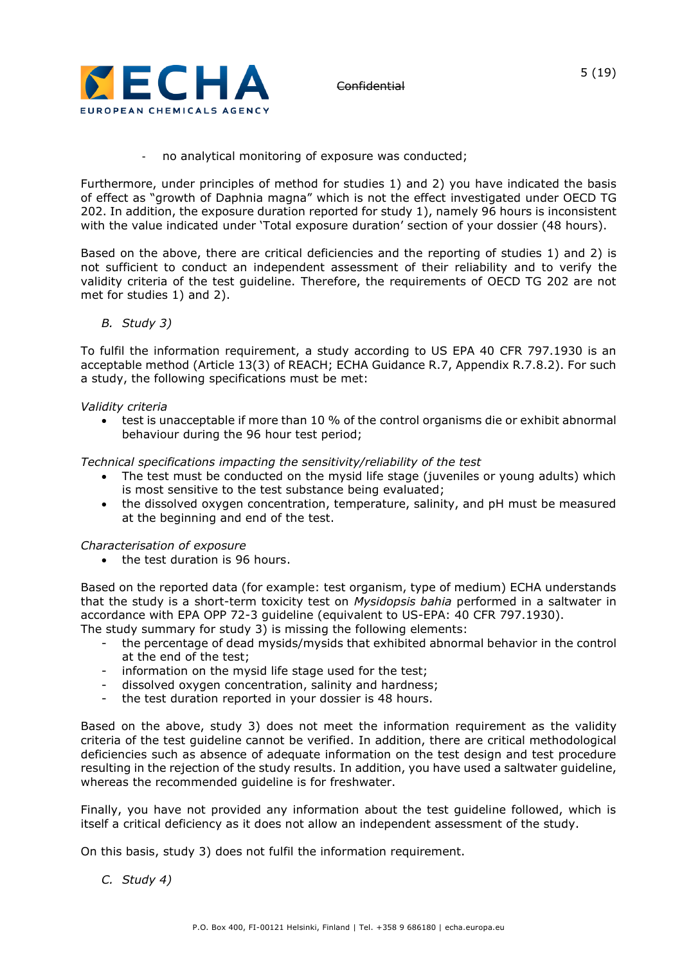

no analytical monitoring of exposure was conducted;

Furthermore, under principles of method for studies 1) and 2) you have indicated the basis of effect as "growth of Daphnia magna" which is not the effect investigated under OECD TG 202. In addition, the exposure duration reported for study 1), namely 96 hours is inconsistent with the value indicated under 'Total exposure duration' section of your dossier (48 hours).

Based on the above, there are critical deficiencies and the reporting of studies 1) and 2) is not sufficient to conduct an independent assessment of their reliability and to verify the validity criteria of the test guideline. Therefore, the requirements of OECD TG 202 are not met for studies 1) and 2).

*B. Study 3)*

To fulfil the information requirement, a study according to US EPA 40 CFR 797.1930 is an acceptable method (Article 13(3) of REACH; ECHA Guidance R.7, Appendix R.7.8.2). For such a study, the following specifications must be met:

### *Validity criteria*

• test is unacceptable if more than 10 % of the control organisms die or exhibit abnormal behaviour during the 96 hour test period;

*Technical specifications impacting the sensitivity/reliability of the test*

- The test must be conducted on the mysid life stage (juveniles or young adults) which is most sensitive to the test substance being evaluated;
- the dissolved oxygen concentration, temperature, salinity, and pH must be measured at the beginning and end of the test.

### *Characterisation of exposure*

• the test duration is 96 hours.

Based on the reported data (for example: test organism, type of medium) ECHA understands that the study is a short-term toxicity test on *Mysidopsis bahia* performed in a saltwater in accordance with EPA OPP 72-3 guideline (equivalent to US-EPA: 40 CFR 797.1930). The study summary for study 3) is missing the following elements:

- the percentage of dead mysids/mysids that exhibited abnormal behavior in the control at the end of the test;
- information on the mysid life stage used for the test;
- dissolved oxygen concentration, salinity and hardness;
- the test duration reported in your dossier is 48 hours.

Based on the above, study 3) does not meet the information requirement as the validity criteria of the test guideline cannot be verified. In addition, there are critical methodological deficiencies such as absence of adequate information on the test design and test procedure resulting in the rejection of the study results. In addition, you have used a saltwater guideline, whereas the recommended guideline is for freshwater.

Finally, you have not provided any information about the test guideline followed, which is itself a critical deficiency as it does not allow an independent assessment of the study.

On this basis, study 3) does not fulfil the information requirement.

*C. Study 4)*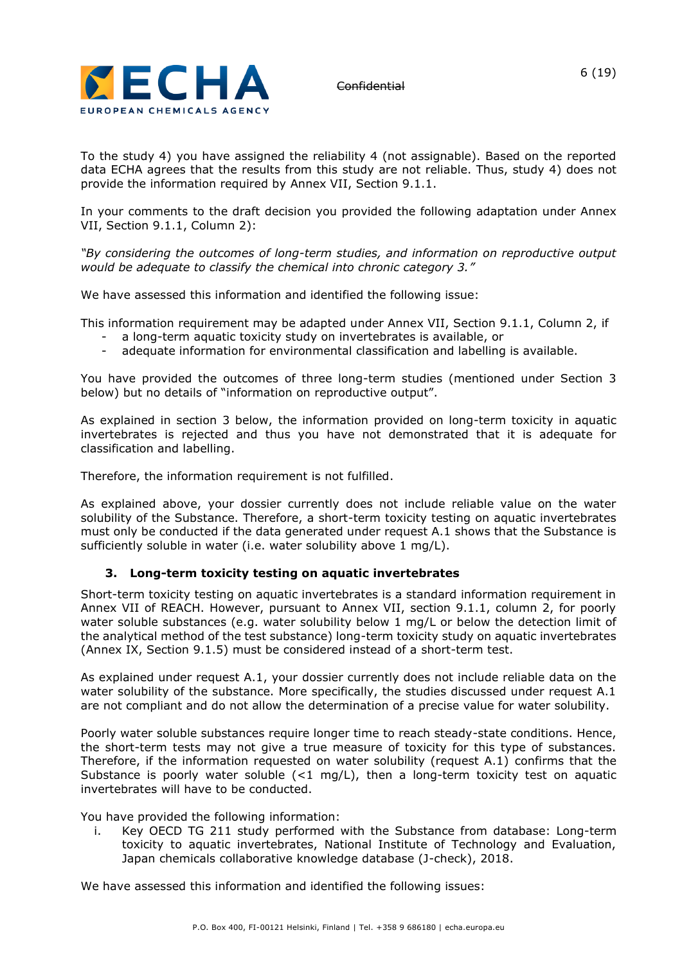

To the study 4) you have assigned the reliability 4 (not assignable). Based on the reported data ECHA agrees that the results from this study are not reliable. Thus, study 4) does not provide the information required by Annex VII, Section 9.1.1.

In your comments to the draft decision you provided the following adaptation under Annex VII, Section 9.1.1, Column 2):

*"By considering the outcomes of long-term studies, and information on reproductive output would be adequate to classify the chemical into chronic category 3."*

We have assessed this information and identified the following issue:

This information requirement may be adapted under Annex VII, Section 9.1.1, Column 2, if

- a long-term aquatic toxicity study on invertebrates is available, or
- adequate information for environmental classification and labelling is available.

You have provided the outcomes of three long-term studies (mentioned under Section 3 below) but no details of "information on reproductive output".

As explained in section 3 below, the information provided on long-term toxicity in aquatic invertebrates is rejected and thus you have not demonstrated that it is adequate for classification and labelling.

Therefore, the information requirement is not fulfilled.

As explained above, your dossier currently does not include reliable value on the water solubility of the Substance. Therefore, a short-term toxicity testing on aquatic invertebrates must only be conducted if the data generated under request A.1 shows that the Substance is sufficiently soluble in water (i.e. water solubility above 1 mg/L).

# **3. Long-term toxicity testing on aquatic invertebrates**

Short-term toxicity testing on aquatic invertebrates is a standard information requirement in Annex VII of REACH. However, pursuant to Annex VII, section 9.1.1, column 2, for poorly water soluble substances (e.g. water solubility below 1 mg/L or below the detection limit of the analytical method of the test substance) long-term toxicity study on aquatic invertebrates (Annex IX, Section 9.1.5) must be considered instead of a short-term test.

As explained under request A.1, your dossier currently does not include reliable data on the water solubility of the substance. More specifically, the studies discussed under request A.1 are not compliant and do not allow the determination of a precise value for water solubility.

Poorly water soluble substances require longer time to reach steady-state conditions. Hence, the short-term tests may not give a true measure of toxicity for this type of substances. Therefore, if the information requested on water solubility (request A.1) confirms that the Substance is poorly water soluble  $(<1$  mg/L), then a long-term toxicity test on aquatic invertebrates will have to be conducted.

You have provided the following information:

i. Key OECD TG 211 study performed with the Substance from database: Long-term toxicity to aquatic invertebrates, National Institute of Technology and Evaluation, Japan chemicals collaborative knowledge database (J-check), 2018.

We have assessed this information and identified the following issues: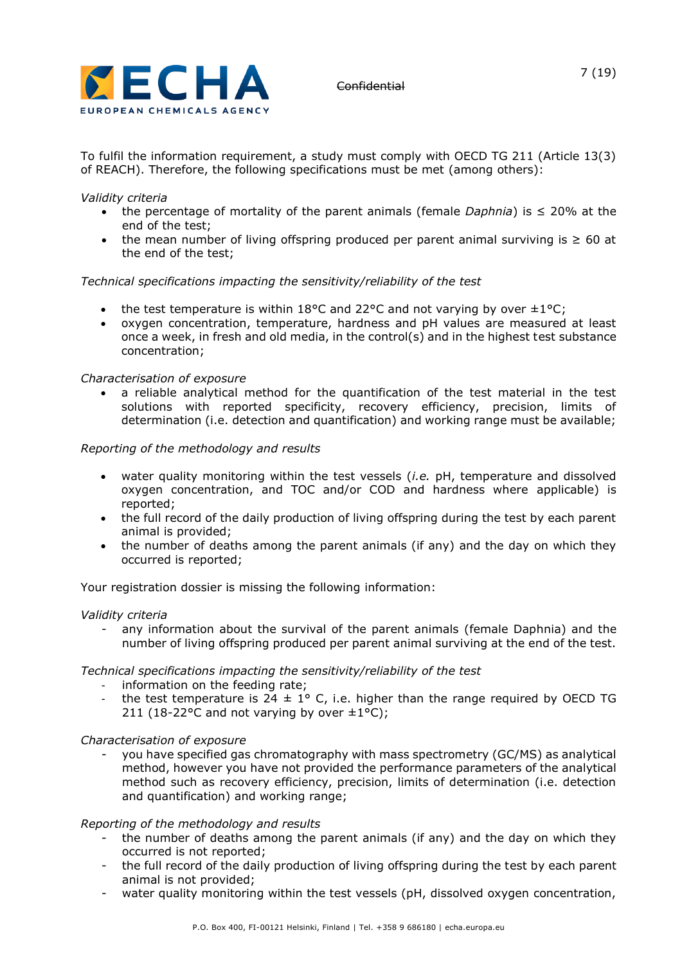

To fulfil the information requirement, a study must comply with OECD TG 211 (Article 13(3) of REACH). Therefore, the following specifications must be met (among others):

## *Validity criteria*

- the percentage of mortality of the parent animals (female *Daphnia*) is ≤ 20% at the end of the test;
- the mean number of living offspring produced per parent animal surviving is ≥ 60 at the end of the test;

## *Technical specifications impacting the sensitivity/reliability of the test*

- the test temperature is within 18°C and 22°C and not varying by over  $\pm 1$ °C;
- oxygen concentration, temperature, hardness and pH values are measured at least once a week, in fresh and old media, in the control(s) and in the highest test substance concentration;

## *Characterisation of exposure*

• a reliable analytical method for the quantification of the test material in the test solutions with reported specificity, recovery efficiency, precision, limits of determination (i.e. detection and quantification) and working range must be available;

## *Reporting of the methodology and results*

- water quality monitoring within the test vessels (*i.e.* pH, temperature and dissolved oxygen concentration, and TOC and/or COD and hardness where applicable) is reported;
- the full record of the daily production of living offspring during the test by each parent animal is provided;
- the number of deaths among the parent animals (if any) and the day on which they occurred is reported;

Your registration dossier is missing the following information:

### *Validity criteria*

any information about the survival of the parent animals (female Daphnia) and the number of living offspring produced per parent animal surviving at the end of the test.

### *Technical specifications impacting the sensitivity/reliability of the test*

- information on the feeding rate;
- the test temperature is  $24 \pm 1^{\circ}$  C, i.e. higher than the range required by OECD TG 211 (18-22°C and not varying by over  $\pm 1$ °C);

### *Characterisation of exposure*

you have specified gas chromatography with mass spectrometry (GC/MS) as analytical method, however you have not provided the performance parameters of the analytical method such as recovery efficiency, precision, limits of determination (i.e. detection and quantification) and working range;

### *Reporting of the methodology and results*

- the number of deaths among the parent animals (if any) and the day on which they occurred is not reported;
- the full record of the daily production of living offspring during the test by each parent animal is not provided;
- water quality monitoring within the test vessels (pH, dissolved oxygen concentration,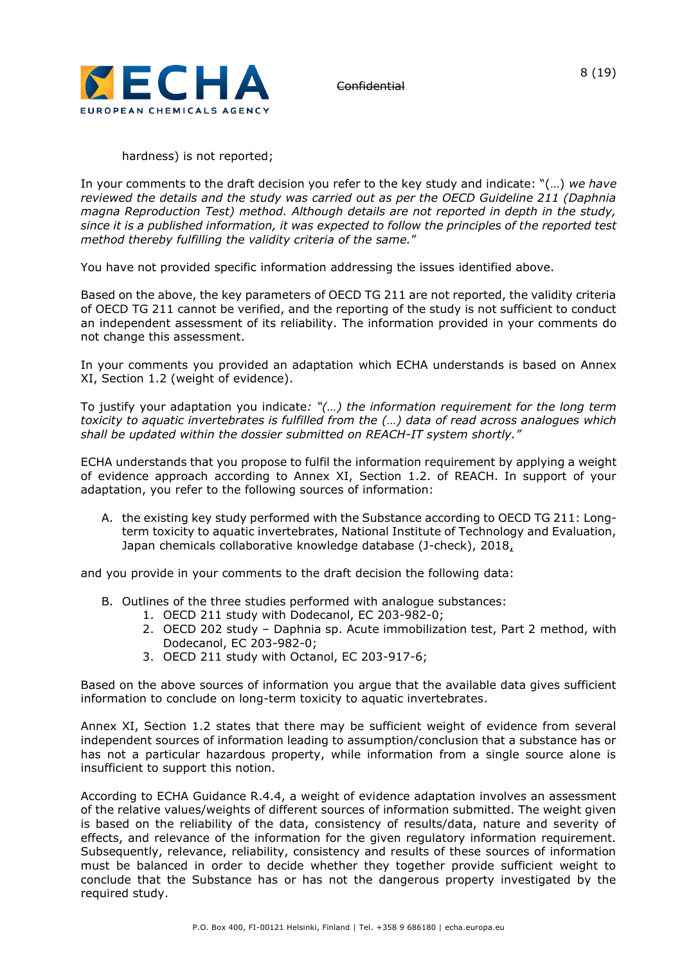

hardness) is not reported;

In your comments to the draft decision you refer to the key study and indicate: "(…) *we have reviewed the details and the study was carried out as per the OECD Guideline 211 (Daphnia magna Reproduction Test) method. Although details are not reported in depth in the study, since it is a published information, it was expected to follow the principles of the reported test method thereby fulfilling the validity criteria of the same.*"

You have not provided specific information addressing the issues identified above.

Based on the above, the key parameters of OECD TG 211 are not reported, the validity criteria of OECD TG 211 cannot be verified, and the reporting of the study is not sufficient to conduct an independent assessment of its reliability. The information provided in your comments do not change this assessment.

In your comments you provided an adaptation which ECHA understands is based on Annex XI, Section 1.2 (weight of evidence).

To justify your adaptation you indicate*: "(…) the information requirement for the long term toxicity to aquatic invertebrates is fulfilled from the (…) data of read across analogues which shall be updated within the dossier submitted on REACH-IT system shortly."*

ECHA understands that you propose to fulfil the information requirement by applying a weight of evidence approach according to Annex XI, Section 1.2. of REACH. In support of your adaptation, you refer to the following sources of information:

A. the existing key study performed with the Substance according to OECD TG 211: Longterm toxicity to aquatic invertebrates, National Institute of Technology and Evaluation, Japan chemicals collaborative knowledge database (J-check), 2018,

and you provide in your comments to the draft decision the following data:

- B. Outlines of the three studies performed with analogue substances:
	- 1. OECD 211 study with Dodecanol, EC 203-982-0;
		- 2. OECD 202 study Daphnia sp. Acute immobilization test, Part 2 method, with Dodecanol, EC 203-982-0;
		- 3. OECD 211 study with Octanol, EC 203-917-6;

Based on the above sources of information you argue that the available data gives sufficient information to conclude on long-term toxicity to aquatic invertebrates.

Annex XI, Section 1.2 states that there may be sufficient weight of evidence from several independent sources of information leading to assumption/conclusion that a substance has or has not a particular hazardous property, while information from a single source alone is insufficient to support this notion.

According to ECHA Guidance R.4.4, a weight of evidence adaptation involves an assessment of the relative values/weights of different sources of information submitted. The weight given is based on the reliability of the data, consistency of results/data, nature and severity of effects, and relevance of the information for the given regulatory information requirement. Subsequently, relevance, reliability, consistency and results of these sources of information must be balanced in order to decide whether they together provide sufficient weight to conclude that the Substance has or has not the dangerous property investigated by the required study.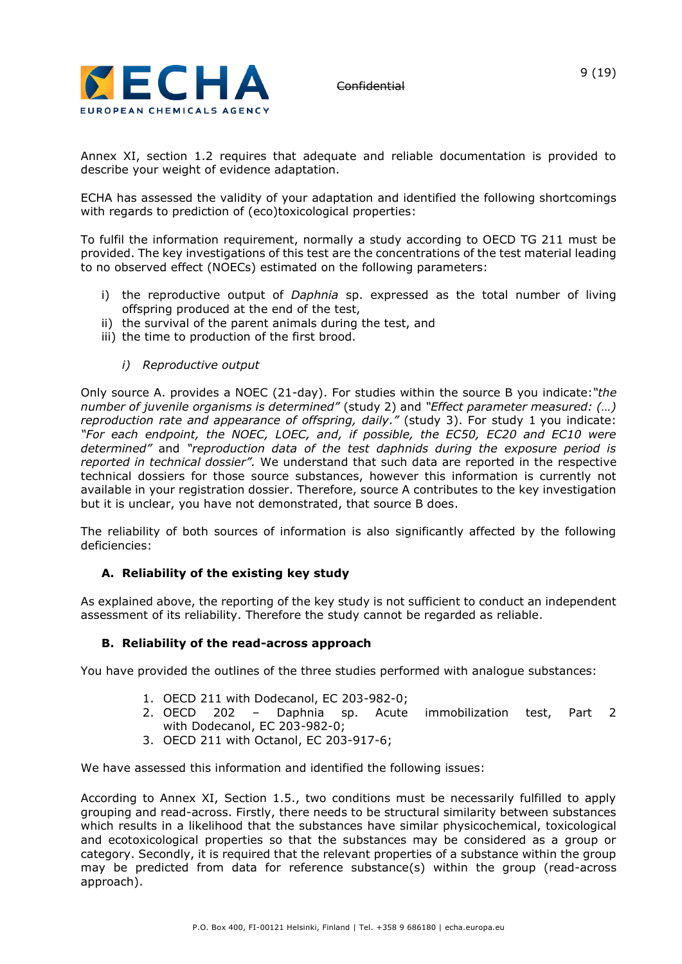

Annex XI, section 1.2 requires that adequate and reliable documentation is provided to describe your weight of evidence adaptation.

ECHA has assessed the validity of your adaptation and identified the following shortcomings with regards to prediction of (eco)toxicological properties:

To fulfil the information requirement, normally a study according to OECD TG 211 must be provided. The key investigations of this test are the concentrations of the test material leading to no observed effect (NOECs) estimated on the following parameters:

- i) the reproductive output of *Daphnia* sp. expressed as the total number of living offspring produced at the end of the test,
- ii) the survival of the parent animals during the test, and
- iii) the time to production of the first brood.

### *i) Reproductive output*

Only source A. provides a NOEC (21-day). For studies within the source B you indicate:*"the number of juvenile organisms is determined"* (study 2) and *"Effect parameter measured: (…) reproduction rate and appearance of offspring, daily."* (study 3). For study 1 you indicate: *"For each endpoint, the NOEC, LOEC, and, if possible, the EC50, EC20 and EC10 were determined"* and *"reproduction data of the test daphnids during the exposure period is reported in technical dossier".* We understand that such data are reported in the respective technical dossiers for those source substances, however this information is currently not available in your registration dossier. Therefore, source A contributes to the key investigation but it is unclear, you have not demonstrated, that source B does.

The reliability of both sources of information is also significantly affected by the following deficiencies:

# **A. Reliability of the existing key study**

As explained above, the reporting of the key study is not sufficient to conduct an independent assessment of its reliability. Therefore the study cannot be regarded as reliable.

### **B. Reliability of the read-across approach**

You have provided the outlines of the three studies performed with analogue substances:

- 1. OECD 211 with Dodecanol, EC 203-982-0;
- 2. OECD 202 Daphnia sp. Acute immobilization test, Part 2 with Dodecanol, EC 203-982-0;
- 3. OECD 211 with Octanol, EC 203-917-6;

We have assessed this information and identified the following issues:

According to Annex XI, Section 1.5., two conditions must be necessarily fulfilled to apply grouping and read-across. Firstly, there needs to be structural similarity between substances which results in a likelihood that the substances have similar physicochemical, toxicological and ecotoxicological properties so that the substances may be considered as a group or category. Secondly, it is required that the relevant properties of a substance within the group may be predicted from data for reference substance(s) within the group (read-across approach).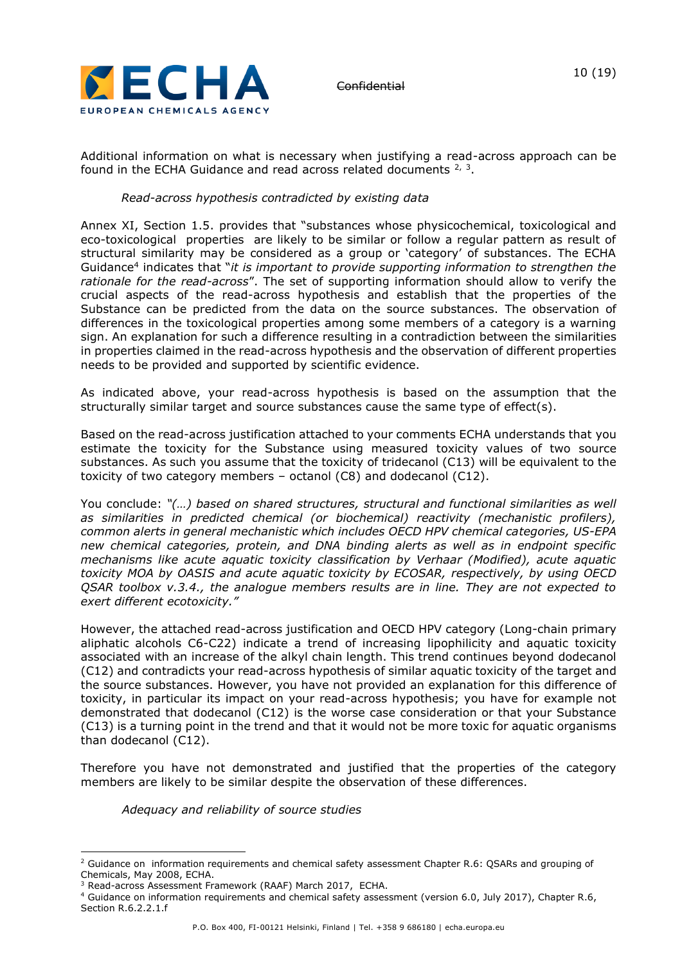

Additional information on what is necessary when justifying a read-across approach can be found in the ECHA Guidance and read across related documents  $2, 3$ .

## *Read-across hypothesis contradicted by existing data*

Annex XI, Section 1.5. provides that "substances whose physicochemical, toxicological and eco-toxicological properties are likely to be similar or follow a regular pattern as result of structural similarity may be considered as a group or 'category' of substances. The ECHA Guidance<sup>4</sup> indicates that "*it is important to provide supporting information to strengthen the rationale for the read-across*". The set of supporting information should allow to verify the crucial aspects of the read-across hypothesis and establish that the properties of the Substance can be predicted from the data on the source substances. The observation of differences in the toxicological properties among some members of a category is a warning sign. An explanation for such a difference resulting in a contradiction between the similarities in properties claimed in the read-across hypothesis and the observation of different properties needs to be provided and supported by scientific evidence.

As indicated above, your read-across hypothesis is based on the assumption that the structurally similar target and source substances cause the same type of effect(s).

Based on the read-across justification attached to your comments ECHA understands that you estimate the toxicity for the Substance using measured toxicity values of two source substances. As such you assume that the toxicity of tridecanol (C13) will be equivalent to the toxicity of two category members – octanol (C8) and dodecanol (C12).

You conclude: *"(…) based on shared structures, structural and functional similarities as well as similarities in predicted chemical (or biochemical) reactivity (mechanistic profilers), common alerts in general mechanistic which includes OECD HPV chemical categories, US-EPA new chemical categories, protein, and DNA binding alerts as well as in endpoint specific mechanisms like acute aquatic toxicity classification by Verhaar (Modified), acute aquatic toxicity MOA by OASIS and acute aquatic toxicity by ECOSAR, respectively, by using OECD QSAR toolbox v.3.4., the analogue members results are in line. They are not expected to exert different ecotoxicity."*

However, the attached read-across justification and OECD HPV category (Long-chain primary aliphatic alcohols C6-C22) indicate a trend of increasing lipophilicity and aquatic toxicity associated with an increase of the alkyl chain length. This trend continues beyond dodecanol (C12) and contradicts your read-across hypothesis of similar aquatic toxicity of the target and the source substances. However, you have not provided an explanation for this difference of toxicity, in particular its impact on your read-across hypothesis; you have for example not demonstrated that dodecanol (C12) is the worse case consideration or that your Substance (C13) is a turning point in the trend and that it would not be more toxic for aquatic organisms than dodecanol (C12).

Therefore you have not demonstrated and justified that the properties of the category members are likely to be similar despite the observation of these differences.

### *Adequacy and reliability of source studies*

<sup>&</sup>lt;sup>2</sup> Guidance on information requirements and chemical safety assessment Chapter R.6: QSARs and grouping of Chemicals, May 2008, ECHA.

<sup>3</sup> Read-across Assessment Framework (RAAF) March 2017, ECHA.

<sup>4</sup> Guidance on information requirements and chemical safety assessment (version 6.0, July 2017), Chapter R.6, Section R.6.2.2.1.f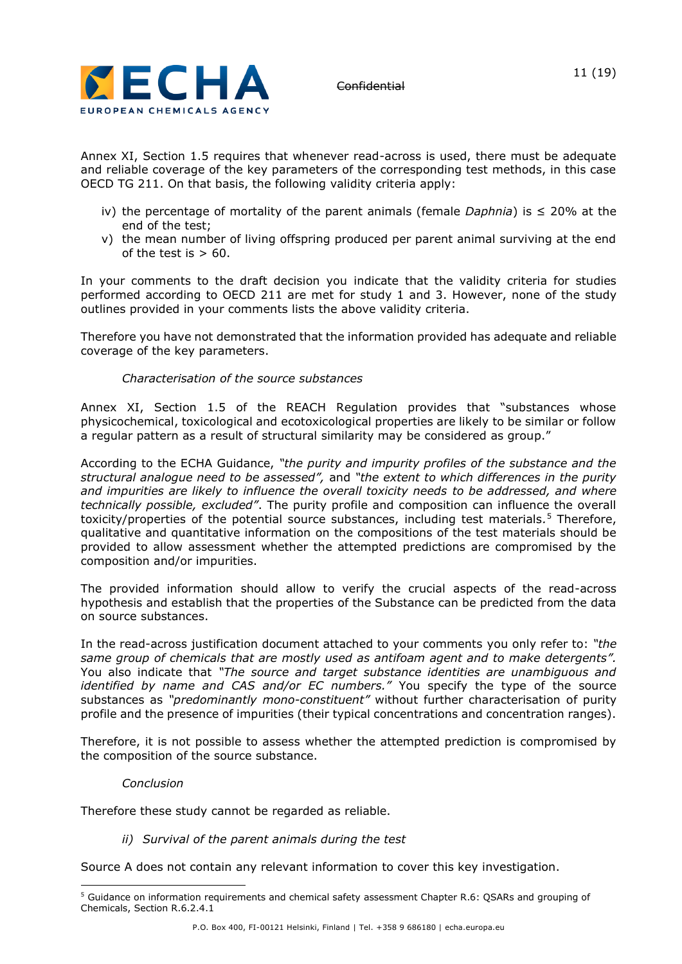

Annex XI, Section 1.5 requires that whenever read-across is used, there must be adequate and reliable coverage of the key parameters of the corresponding test methods, in this case OECD TG 211. On that basis, the following validity criteria apply:

- iv) the percentage of mortality of the parent animals (female *Daphnia*) is ≤ 20% at the end of the test;
- v) the mean number of living offspring produced per parent animal surviving at the end of the test is  $> 60$ .

In your comments to the draft decision you indicate that the validity criteria for studies performed according to OECD 211 are met for study 1 and 3. However, none of the study outlines provided in your comments lists the above validity criteria.

Therefore you have not demonstrated that the information provided has adequate and reliable coverage of the key parameters.

# *Characterisation of the source substances*

Annex XI, Section 1.5 of the REACH Regulation provides that "substances whose physicochemical, toxicological and ecotoxicological properties are likely to be similar or follow a regular pattern as a result of structural similarity may be considered as group."

According to the ECHA Guidance, *"the purity and impurity profiles of the substance and the structural analogue need to be assessed",* and *"the extent to which differences in the purity and impurities are likely to influence the overall toxicity needs to be addressed, and where technically possible, excluded"*. The purity profile and composition can influence the overall toxicity/properties of the potential source substances, including test materials*.* <sup>5</sup> Therefore, qualitative and quantitative information on the compositions of the test materials should be provided to allow assessment whether the attempted predictions are compromised by the composition and/or impurities.

The provided information should allow to verify the crucial aspects of the read-across hypothesis and establish that the properties of the Substance can be predicted from the data on source substances.

In the read-across justification document attached to your comments you only refer to: *"the same group of chemicals that are mostly used as antifoam agent and to make detergents".*  You also indicate that *"The source and target substance identities are unambiguous and identified by name and CAS and/or EC numbers."* You specify the type of the source substances as *"predominantly mono-constituent"* without further characterisation of purity profile and the presence of impurities (their typical concentrations and concentration ranges).

Therefore, it is not possible to assess whether the attempted prediction is compromised by the composition of the source substance.

### *Conclusion*

Therefore these study cannot be regarded as reliable.

*ii) Survival of the parent animals during the test*

Source A does not contain any relevant information to cover this key investigation.

<sup>5</sup> Guidance on information requirements and chemical safety assessment Chapter R.6: QSARs and grouping of Chemicals, Section R.6.2.4.1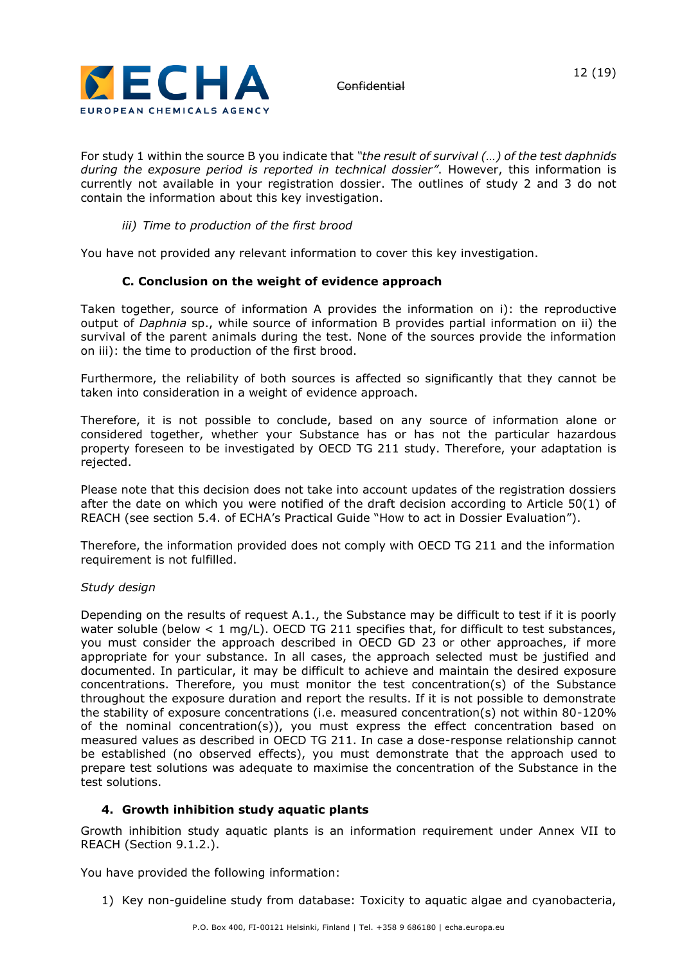

For study 1 within the source B you indicate that *"the result of survival (…) of the test daphnids during the exposure period is reported in technical dossier"*. However, this information is currently not available in your registration dossier. The outlines of study 2 and 3 do not contain the information about this key investigation.

### *iii) Time to production of the first brood*

You have not provided any relevant information to cover this key investigation.

## **C. Conclusion on the weight of evidence approach**

Taken together, source of information A provides the information on i): the reproductive output of *Daphnia* sp., while source of information B provides partial information on ii) the survival of the parent animals during the test. None of the sources provide the information on iii): the time to production of the first brood.

Furthermore, the reliability of both sources is affected so significantly that they cannot be taken into consideration in a weight of evidence approach.

Therefore, it is not possible to conclude, based on any source of information alone or considered together, whether your Substance has or has not the particular hazardous property foreseen to be investigated by OECD TG 211 study. Therefore, your adaptation is rejected.

Please note that this decision does not take into account updates of the registration dossiers after the date on which you were notified of the draft decision according to Article 50(1) of REACH (see section 5.4. of ECHA's Practical Guide "How to act in Dossier Evaluation").

Therefore, the information provided does not comply with OECD TG 211 and the information requirement is not fulfilled.

### *Study design*

Depending on the results of request A.1., the Substance may be difficult to test if it is poorly water soluble (below  $< 1$  mg/L). OECD TG 211 specifies that, for difficult to test substances, you must consider the approach described in OECD GD 23 or other approaches, if more appropriate for your substance. In all cases, the approach selected must be justified and documented. In particular, it may be difficult to achieve and maintain the desired exposure concentrations. Therefore, you must monitor the test concentration(s) of the Substance throughout the exposure duration and report the results. If it is not possible to demonstrate the stability of exposure concentrations (i.e. measured concentration(s) not within 80-120% of the nominal concentration(s)), you must express the effect concentration based on measured values as described in OECD TG 211. In case a dose-response relationship cannot be established (no observed effects), you must demonstrate that the approach used to prepare test solutions was adequate to maximise the concentration of the Substance in the test solutions.

# **4. Growth inhibition study aquatic plants**

Growth inhibition study aquatic plants is an information requirement under Annex VII to REACH (Section 9.1.2.).

You have provided the following information:

1) Key non-guideline study from database: Toxicity to aquatic algae and cyanobacteria,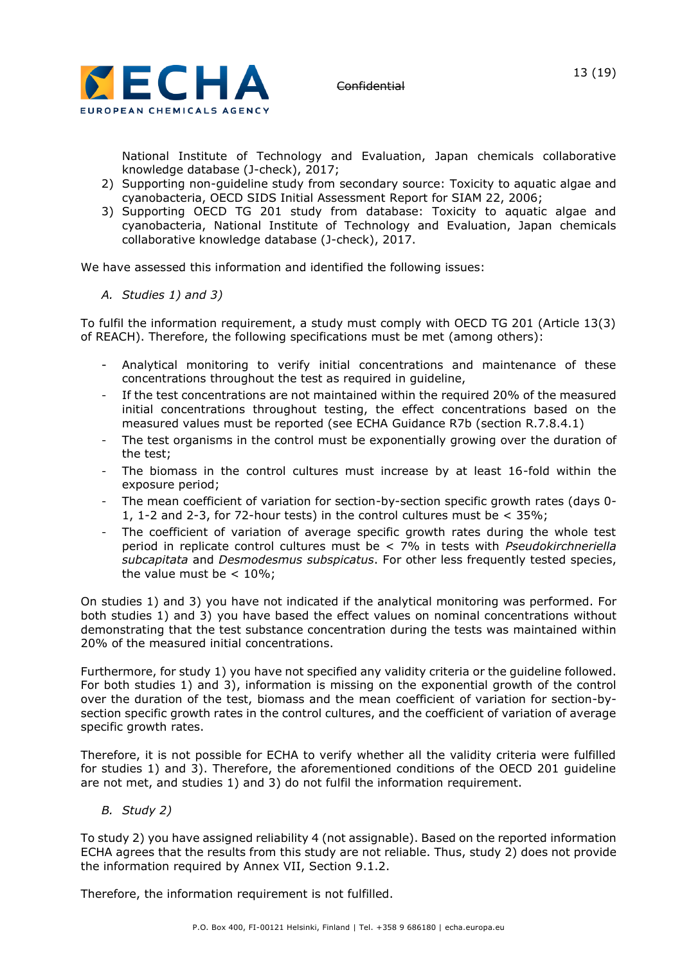

National Institute of Technology and Evaluation, Japan chemicals collaborative knowledge database (J-check), 2017;

- 2) Supporting non-guideline study from secondary source: Toxicity to aquatic algae and cyanobacteria, OECD SIDS Initial Assessment Report for SIAM 22, 2006;
- 3) Supporting OECD TG 201 study from database: Toxicity to aquatic algae and cyanobacteria, National Institute of Technology and Evaluation, Japan chemicals collaborative knowledge database (J-check), 2017.

We have assessed this information and identified the following issues:

*A. Studies 1) and 3)*

To fulfil the information requirement, a study must comply with OECD TG 201 (Article 13(3) of REACH). Therefore, the following specifications must be met (among others):

- Analytical monitoring to verify initial concentrations and maintenance of these concentrations throughout the test as required in guideline,
- If the test concentrations are not maintained within the required 20% of the measured initial concentrations throughout testing, the effect concentrations based on the measured values must be reported (see ECHA Guidance R7b (section R.7.8.4.1)
- The test organisms in the control must be exponentially growing over the duration of the test;
- The biomass in the control cultures must increase by at least 16-fold within the exposure period;
- The mean coefficient of variation for section-by-section specific growth rates (days 0- 1, 1-2 and 2-3, for 72-hour tests) in the control cultures must be < 35%;
- The coefficient of variation of average specific growth rates during the whole test period in replicate control cultures must be < 7% in tests with *Pseudokirchneriella subcapitata* and *Desmodesmus subspicatus*. For other less frequently tested species, the value must be  $< 10\%$ ;

On studies 1) and 3) you have not indicated if the analytical monitoring was performed. For both studies 1) and 3) you have based the effect values on nominal concentrations without demonstrating that the test substance concentration during the tests was maintained within 20% of the measured initial concentrations.

Furthermore, for study 1) you have not specified any validity criteria or the guideline followed. For both studies 1) and 3), information is missing on the exponential growth of the control over the duration of the test, biomass and the mean coefficient of variation for section-bysection specific growth rates in the control cultures, and the coefficient of variation of average specific growth rates.

Therefore, it is not possible for ECHA to verify whether all the validity criteria were fulfilled for studies 1) and 3). Therefore, the aforementioned conditions of the OECD 201 guideline are not met, and studies 1) and 3) do not fulfil the information requirement.

*B. Study 2)*

To study 2) you have assigned reliability 4 (not assignable). Based on the reported information ECHA agrees that the results from this study are not reliable. Thus, study 2) does not provide the information required by Annex VII, Section 9.1.2.

Therefore, the information requirement is not fulfilled.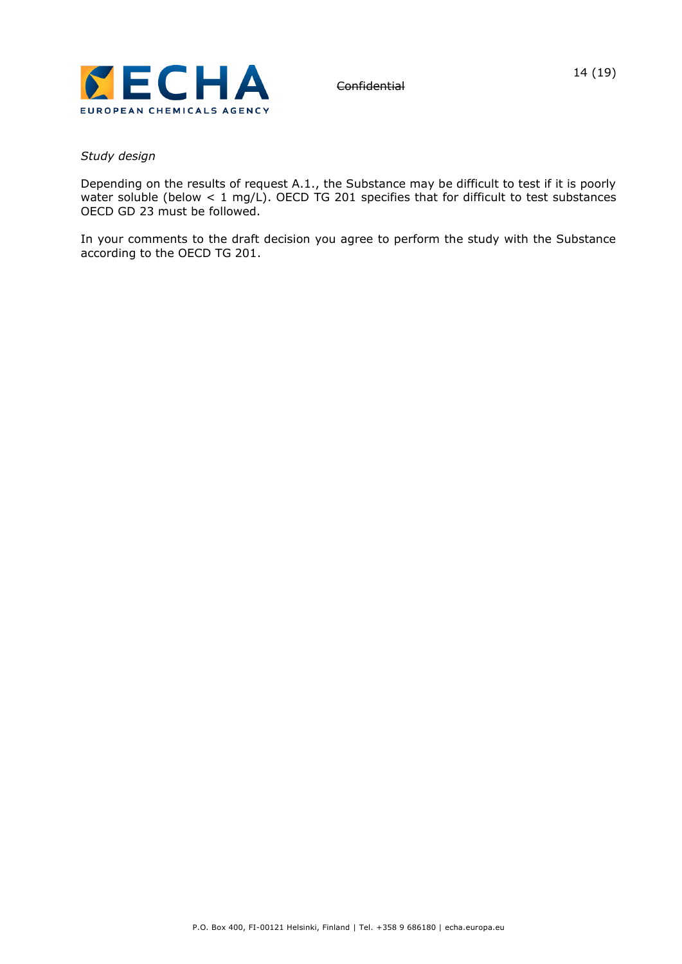

#### *Study design*

Depending on the results of request A.1., the Substance may be difficult to test if it is poorly water soluble (below  $< 1$  mg/L). OECD TG 201 specifies that for difficult to test substances OECD GD 23 must be followed.

In your comments to the draft decision you agree to perform the study with the Substance according to the OECD TG 201.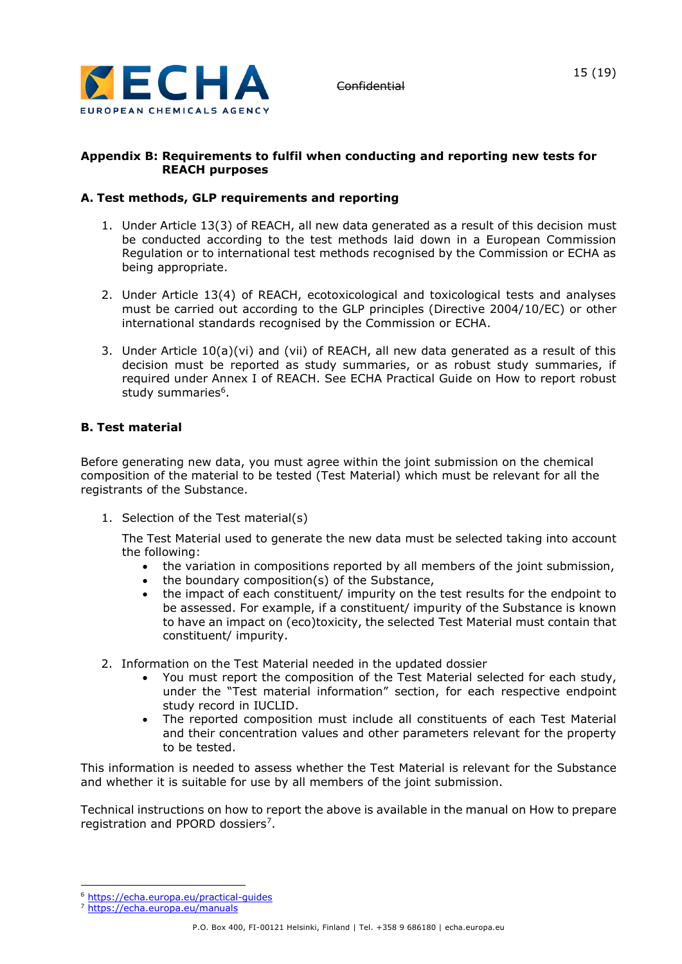

## **Appendix B: Requirements to fulfil when conducting and reporting new tests for REACH purposes**

# **A. Test methods, GLP requirements and reporting**

- 1. Under Article 13(3) of REACH, all new data generated as a result of this decision must be conducted according to the test methods laid down in a European Commission Regulation or to international test methods recognised by the Commission or ECHA as being appropriate.
- 2. Under Article 13(4) of REACH, ecotoxicological and toxicological tests and analyses must be carried out according to the GLP principles (Directive 2004/10/EC) or other international standards recognised by the Commission or ECHA.
- 3. Under Article 10(a)(vi) and (vii) of REACH, all new data generated as a result of this decision must be reported as study summaries, or as robust study summaries, if required under Annex I of REACH. See ECHA Practical Guide on How to report robust study summaries<sup>6</sup>.

# **B. Test material**

Before generating new data, you must agree within the joint submission on the chemical composition of the material to be tested (Test Material) which must be relevant for all the registrants of the Substance.

1. Selection of the Test material(s)

The Test Material used to generate the new data must be selected taking into account the following:

- the variation in compositions reported by all members of the joint submission,
- the boundary composition(s) of the Substance,
- the impact of each constituent/ impurity on the test results for the endpoint to be assessed. For example, if a constituent/ impurity of the Substance is known to have an impact on (eco)toxicity, the selected Test Material must contain that constituent/ impurity.
- 2. Information on the Test Material needed in the updated dossier
	- You must report the composition of the Test Material selected for each study, under the "Test material information" section, for each respective endpoint study record in IUCLID.
	- The reported composition must include all constituents of each Test Material and their concentration values and other parameters relevant for the property to be tested.

This information is needed to assess whether the Test Material is relevant for the Substance and whether it is suitable for use by all members of the joint submission.

Technical instructions on how to report the above is available in the manual on How to prepare registration and PPORD dossiers<sup>7</sup>.

<sup>6</sup> <https://echa.europa.eu/practical-guides>

<sup>7</sup> <https://echa.europa.eu/manuals>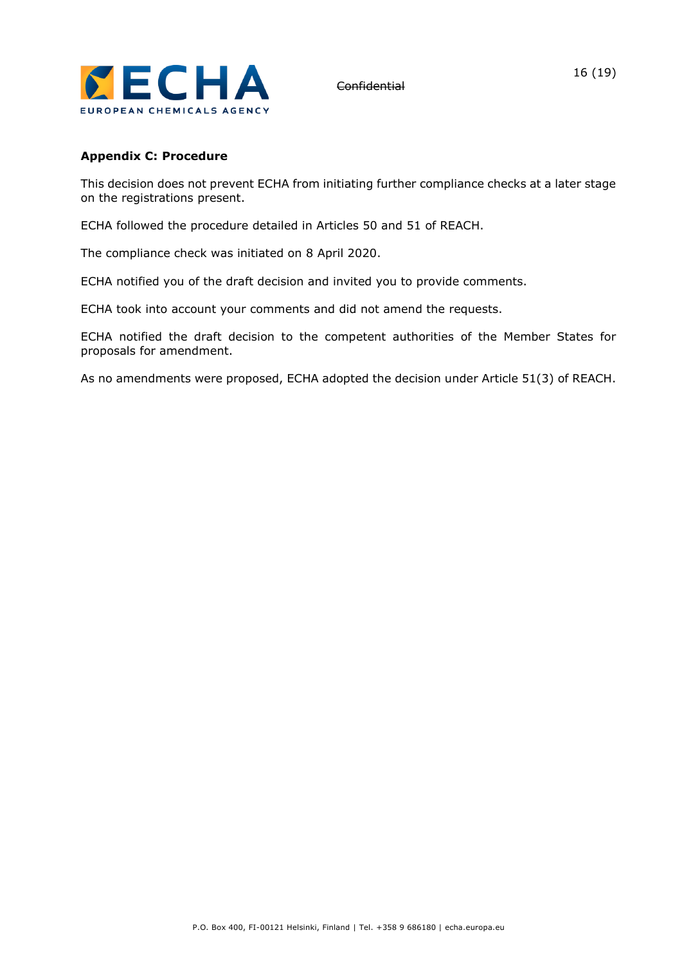

### **Appendix C: Procedure**

This decision does not prevent ECHA from initiating further compliance checks at a later stage on the registrations present.

ECHA followed the procedure detailed in Articles 50 and 51 of REACH.

The compliance check was initiated on 8 April 2020.

ECHA notified you of the draft decision and invited you to provide comments.

ECHA took into account your comments and did not amend the requests.

ECHA notified the draft decision to the competent authorities of the Member States for proposals for amendment.

As no amendments were proposed, ECHA adopted the decision under Article 51(3) of REACH.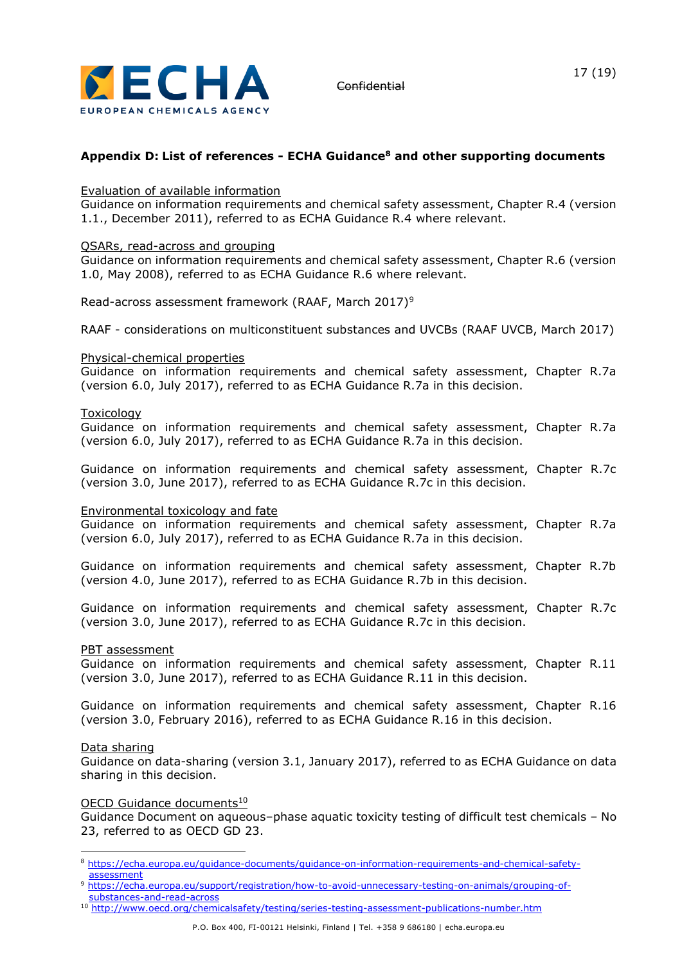

# **Appendix D: List of references - ECHA Guidance<sup>8</sup> and other supporting documents**

#### Evaluation of available information

Guidance on information requirements and chemical safety assessment, Chapter R.4 (version 1.1., December 2011), referred to as ECHA Guidance R.4 where relevant.

#### QSARs, read-across and grouping

Guidance on information requirements and chemical safety assessment, Chapter R.6 (version 1.0, May 2008), referred to as ECHA Guidance R.6 where relevant.

Read-across assessment framework (RAAF, March 2017)<sup>9</sup>

RAAF - considerations on multiconstituent substances and UVCBs (RAAF UVCB, March 2017)

#### Physical-chemical properties

Guidance on information requirements and chemical safety assessment, Chapter R.7a (version 6.0, July 2017), referred to as ECHA Guidance R.7a in this decision.

#### Toxicology

Guidance on information requirements and chemical safety assessment, Chapter R.7a (version 6.0, July 2017), referred to as ECHA Guidance R.7a in this decision.

Guidance on information requirements and chemical safety assessment, Chapter R.7c (version 3.0, June 2017), referred to as ECHA Guidance R.7c in this decision.

#### Environmental toxicology and fate

Guidance on information requirements and chemical safety assessment, Chapter R.7a (version 6.0, July 2017), referred to as ECHA Guidance R.7a in this decision.

Guidance on information requirements and chemical safety assessment, Chapter R.7b (version 4.0, June 2017), referred to as ECHA Guidance R.7b in this decision.

Guidance on information requirements and chemical safety assessment, Chapter R.7c (version 3.0, June 2017), referred to as ECHA Guidance R.7c in this decision.

#### PBT assessment

Guidance on information requirements and chemical safety assessment, Chapter R.11 (version 3.0, June 2017), referred to as ECHA Guidance R.11 in this decision.

Guidance on information requirements and chemical safety assessment, Chapter R.16 (version 3.0, February 2016), referred to as ECHA Guidance R.16 in this decision.

#### Data sharing

Guidance on data-sharing (version 3.1, January 2017), referred to as ECHA Guidance on data sharing in this decision.

#### OECD Guidance documents<sup>10</sup>

Guidance Document on aqueous–phase aquatic toxicity testing of difficult test chemicals – No 23, referred to as OECD GD 23.

<sup>8</sup> [https://echa.europa.eu/guidance-documents/guidance-on-information-requirements-and-chemical-safety](https://echa.europa.eu/guidance-documents/guidance-on-information-requirements-and-chemical-safety-assessment)[assessment](https://echa.europa.eu/guidance-documents/guidance-on-information-requirements-and-chemical-safety-assessment)

<sup>9</sup> [https://echa.europa.eu/support/registration/how-to-avoid-unnecessary-testing-on-animals/grouping-of](https://echa.europa.eu/support/registration/how-to-avoid-unnecessary-testing-on-animals/grouping-of-substances-and-read-across)[substances-and-read-across](https://echa.europa.eu/support/registration/how-to-avoid-unnecessary-testing-on-animals/grouping-of-substances-and-read-across)

<sup>10</sup> <http://www.oecd.org/chemicalsafety/testing/series-testing-assessment-publications-number.htm>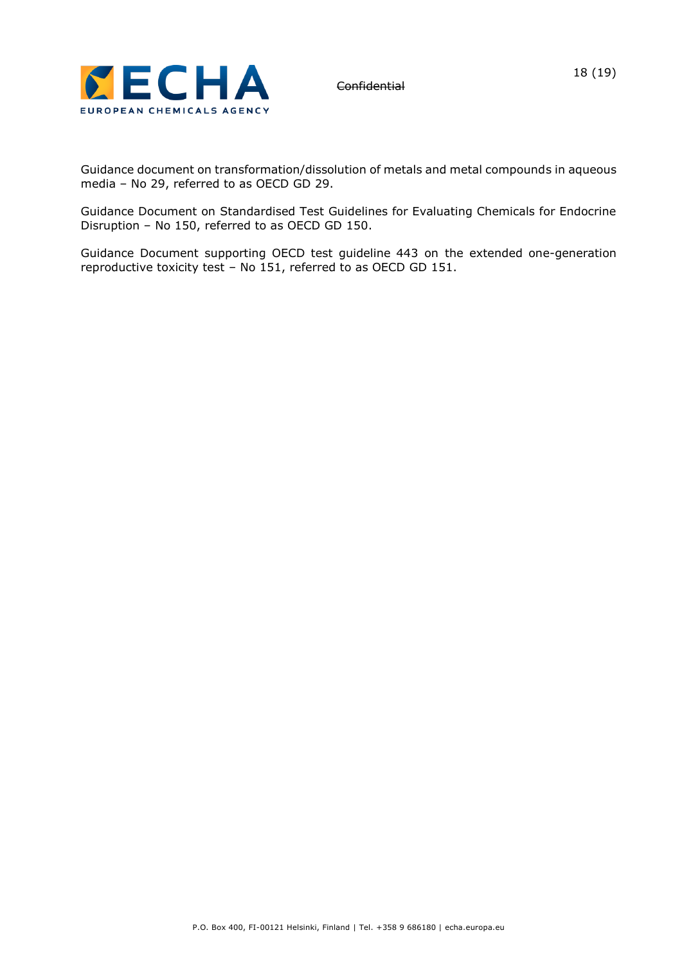

Guidance document on transformation/dissolution of metals and metal compounds in aqueous media – No 29, referred to as OECD GD 29.

Guidance Document on Standardised Test Guidelines for Evaluating Chemicals for Endocrine Disruption – No 150, referred to as OECD GD 150.

Guidance Document supporting OECD test guideline 443 on the extended one-generation reproductive toxicity test – No 151, referred to as OECD GD 151.